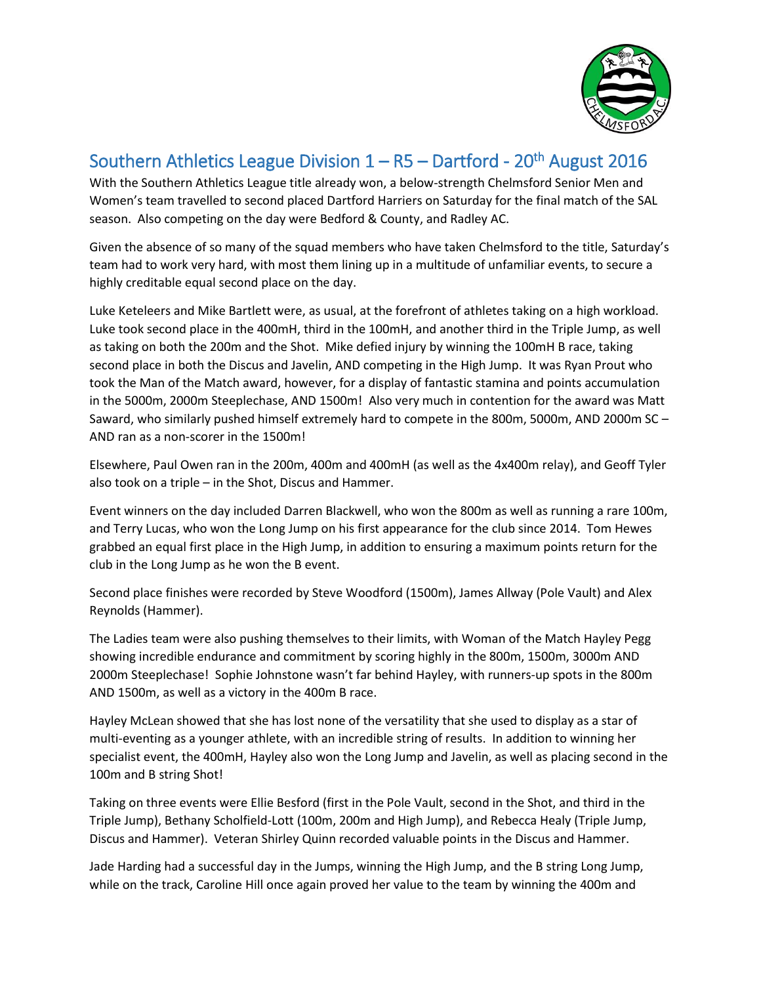

## Southern Athletics League Division  $1 - R5 -$  Dartford - 20<sup>th</sup> August 2016

With the Southern Athletics League title already won, a below-strength Chelmsford Senior Men and Women's team travelled to second placed Dartford Harriers on Saturday for the final match of the SAL season. Also competing on the day were Bedford & County, and Radley AC.

Given the absence of so many of the squad members who have taken Chelmsford to the title, Saturday's team had to work very hard, with most them lining up in a multitude of unfamiliar events, to secure a highly creditable equal second place on the day.

Luke Keteleers and Mike Bartlett were, as usual, at the forefront of athletes taking on a high workload. Luke took second place in the 400mH, third in the 100mH, and another third in the Triple Jump, as well as taking on both the 200m and the Shot. Mike defied injury by winning the 100mH B race, taking second place in both the Discus and Javelin, AND competing in the High Jump. It was Ryan Prout who took the Man of the Match award, however, for a display of fantastic stamina and points accumulation in the 5000m, 2000m Steeplechase, AND 1500m! Also very much in contention for the award was Matt Saward, who similarly pushed himself extremely hard to compete in the 800m, 5000m, AND 2000m SC – AND ran as a non-scorer in the 1500m!

Elsewhere, Paul Owen ran in the 200m, 400m and 400mH (as well as the 4x400m relay), and Geoff Tyler also took on a triple – in the Shot, Discus and Hammer.

Event winners on the day included Darren Blackwell, who won the 800m as well as running a rare 100m, and Terry Lucas, who won the Long Jump on his first appearance for the club since 2014. Tom Hewes grabbed an equal first place in the High Jump, in addition to ensuring a maximum points return for the club in the Long Jump as he won the B event.

Second place finishes were recorded by Steve Woodford (1500m), James Allway (Pole Vault) and Alex Reynolds (Hammer).

The Ladies team were also pushing themselves to their limits, with Woman of the Match Hayley Pegg showing incredible endurance and commitment by scoring highly in the 800m, 1500m, 3000m AND 2000m Steeplechase! Sophie Johnstone wasn't far behind Hayley, with runners-up spots in the 800m AND 1500m, as well as a victory in the 400m B race.

Hayley McLean showed that she has lost none of the versatility that she used to display as a star of multi-eventing as a younger athlete, with an incredible string of results. In addition to winning her specialist event, the 400mH, Hayley also won the Long Jump and Javelin, as well as placing second in the 100m and B string Shot!

Taking on three events were Ellie Besford (first in the Pole Vault, second in the Shot, and third in the Triple Jump), Bethany Scholfield-Lott (100m, 200m and High Jump), and Rebecca Healy (Triple Jump, Discus and Hammer). Veteran Shirley Quinn recorded valuable points in the Discus and Hammer.

Jade Harding had a successful day in the Jumps, winning the High Jump, and the B string Long Jump, while on the track, Caroline Hill once again proved her value to the team by winning the 400m and